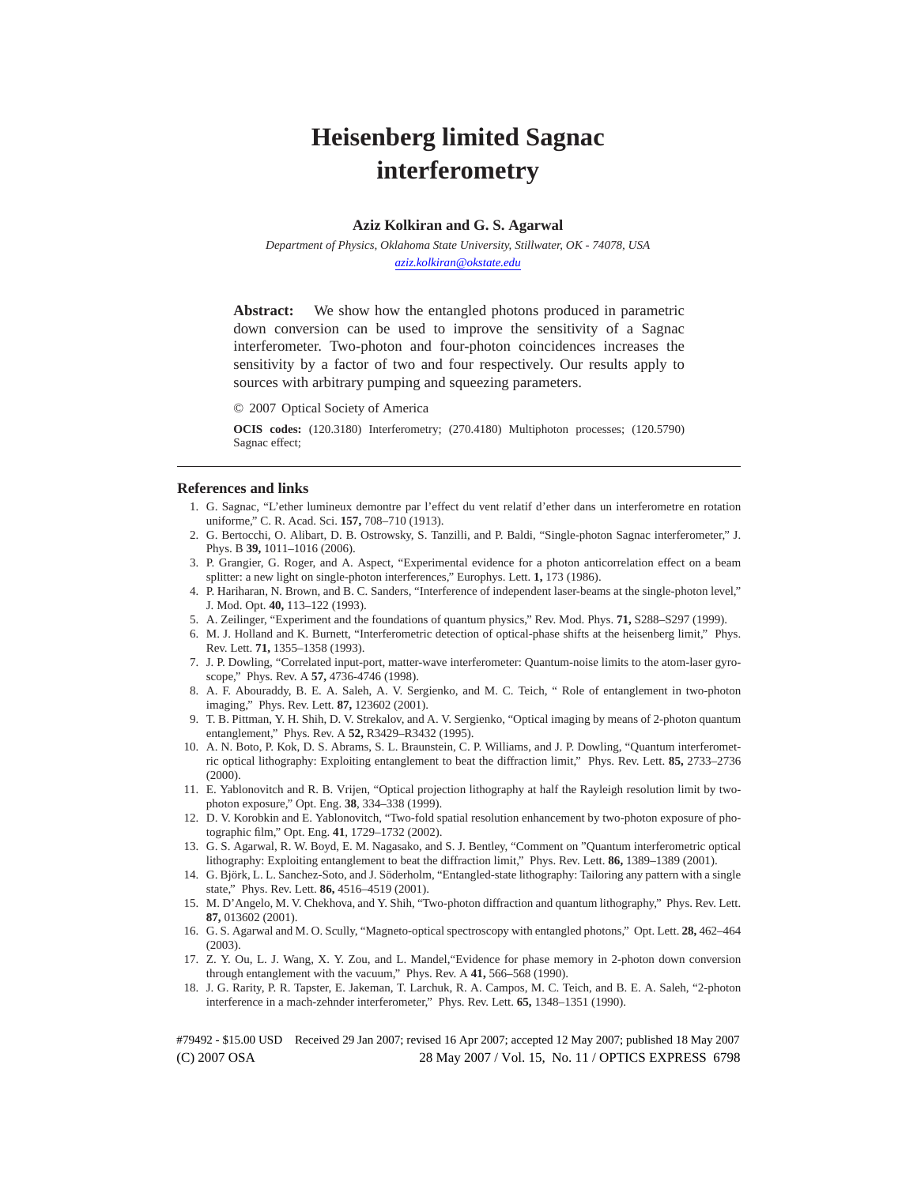# **Heisenberg limited Sagnac interferometry**

## **Aziz Kolkiran and G. S. Agarwal**

*Department of Physics, Oklahoma State University, Stillwater, OK - 74078, USA aziz.kolkiran@okstate.edu*

**Abstract:** We show how the entangled photons produced in parametric down conversion can be used to improve the sensitivity of a Sagnac interferometer. Two-photon and four-photon coincidences increases the sensitivity by a factor of two and four respectively. Our results apply to sources with arbitrary pumping and squeezing parameters.

© 2007 Optical Society of America

**OCIS codes:** (120.3180) Interferometry; (270.4180) Multiphoton processes; (120.5790) Sagnac effect;

#### **References and links**

- 1. G. Sagnac, "L'ether lumineux demontre par l'effect du vent relatif d'ether dans un interferometre en rotation uniforme," C. R. Acad. Sci. **157,** 708–710 (1913).
- 2. G. Bertocchi, O. Alibart, D. B. Ostrowsky, S. Tanzilli, and P. Baldi, "Single-photon Sagnac interferometer," J. Phys. B **39,** 1011–1016 (2006).
- 3. P. Grangier, G. Roger, and A. Aspect, "Experimental evidence for a photon anticorrelation effect on a beam splitter: a new light on single-photon interferences," Europhys. Lett. **1,** 173 (1986).
- 4. P. Hariharan, N. Brown, and B. C. Sanders, "Interference of independent laser-beams at the single-photon level," J. Mod. Opt. **40,** 113–122 (1993).
- 5. A. Zeilinger, "Experiment and the foundations of quantum physics," Rev. Mod. Phys. **71,** S288–S297 (1999).
- 6. M. J. Holland and K. Burnett, "Interferometric detection of optical-phase shifts at the heisenberg limit," Phys. Rev. Lett. **71,** 1355–1358 (1993).
- 7. J. P. Dowling, "Correlated input-port, matter-wave interferometer: Quantum-noise limits to the atom-laser gyroscope," Phys. Rev. A **57,** 4736-4746 (1998).
- 8. A. F. Abouraddy, B. E. A. Saleh, A. V. Sergienko, and M. C. Teich, " Role of entanglement in two-photon imaging," Phys. Rev. Lett. **87,** 123602 (2001).
- 9. T. B. Pittman, Y. H. Shih, D. V. Strekalov, and A. V. Sergienko, "Optical imaging by means of 2-photon quantum entanglement," Phys. Rev. A **52,** R3429–R3432 (1995).
- 10. A. N. Boto, P. Kok, D. S. Abrams, S. L. Braunstein, C. P. Williams, and J. P. Dowling, "Quantum interferometric optical lithography: Exploiting entanglement to beat the diffraction limit," Phys. Rev. Lett. **85,** 2733–2736 (2000).
- 11. E. Yablonovitch and R. B. Vrijen, "Optical projection lithography at half the Rayleigh resolution limit by twophoton exposure," Opt. Eng. **38**, 334–338 (1999).
- 12. D. V. Korobkin and E. Yablonovitch, "Two-fold spatial resolution enhancement by two-photon exposure of photographic film," Opt. Eng. **41**, 1729–1732 (2002).
- 13. G. S. Agarwal, R. W. Boyd, E. M. Nagasako, and S. J. Bentley, "Comment on "Quantum interferometric optical lithography: Exploiting entanglement to beat the diffraction limit," Phys. Rev. Lett. **86,** 1389–1389 (2001).
- 14. G. Björk, L. L. Sanchez-Soto, and J. Söderholm, "Entangled-state lithography: Tailoring any pattern with a single state," Phys. Rev. Lett. **86,** 4516–4519 (2001).
- 15. M. D'Angelo, M. V. Chekhova, and Y. Shih, "Two-photon diffraction and quantum lithography," Phys. Rev. Lett. **87,** 013602 (2001).
- 16. G. S. Agarwal and M. O. Scully, "Magneto-optical spectroscopy with entangled photons," Opt. Lett. **28,** 462–464 (2003).
- 17. Z. Y. Ou, L. J. Wang, X. Y. Zou, and L. Mandel,"Evidence for phase memory in 2-photon down conversion through entanglement with the vacuum," Phys. Rev. A **41,** 566–568 (1990).
- 18. J. G. Rarity, P. R. Tapster, E. Jakeman, T. Larchuk, R. A. Campos, M. C. Teich, and B. E. A. Saleh, "2-photon interference in a mach-zehnder interferometer," Phys. Rev. Lett. **65,** 1348–1351 (1990).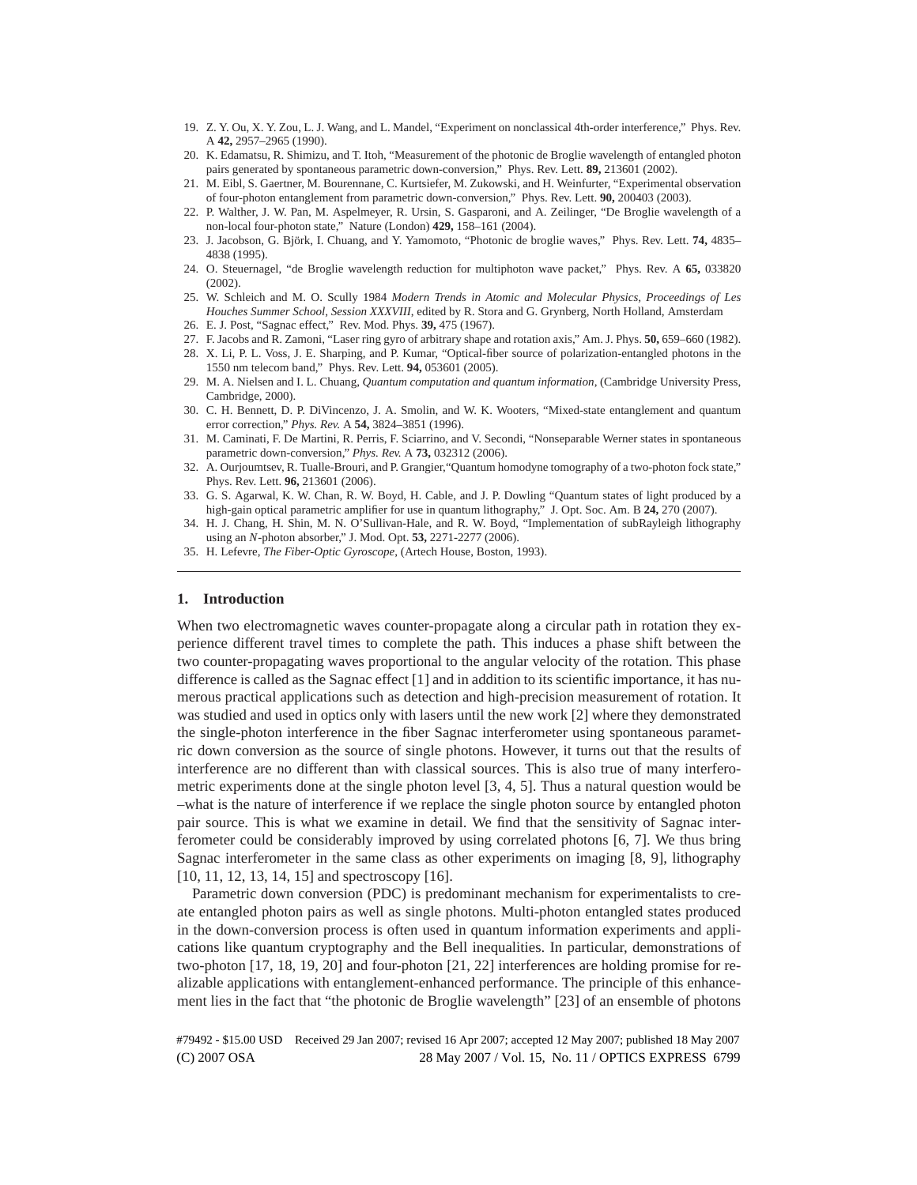- 19. Z. Y. Ou, X. Y. Zou, L. J. Wang, and L. Mandel, "Experiment on nonclassical 4th-order interference," Phys. Rev. A **42,** 2957–2965 (1990).
- 20. K. Edamatsu, R. Shimizu, and T. Itoh, "Measurement of the photonic de Broglie wavelength of entangled photon pairs generated by spontaneous parametric down-conversion," Phys. Rev. Lett. **89,** 213601 (2002).
- 21. M. Eibl, S. Gaertner, M. Bourennane, C. Kurtsiefer, M. Zukowski, and H. Weinfurter, "Experimental observation of four-photon entanglement from parametric down-conversion," Phys. Rev. Lett. **90,** 200403 (2003).
- 22. P. Walther, J. W. Pan, M. Aspelmeyer, R. Ursin, S. Gasparoni, and A. Zeilinger, "De Broglie wavelength of a non-local four-photon state," Nature (London) **429,** 158–161 (2004).
- 23. J. Jacobson, G. Björk, I. Chuang, and Y. Yamomoto, "Photonic de broglie waves," Phys. Rev. Lett. 74, 4835– 4838 (1995).
- 24. O. Steuernagel, "de Broglie wavelength reduction for multiphoton wave packet," Phys. Rev. A **65,** 033820 (2002).
- 25. W. Schleich and M. O. Scully 1984 *Modern Trends in Atomic and Molecular Physics, Proceedings of Les Houches Summer School, Session XXXVIII*, edited by R. Stora and G. Grynberg, North Holland, Amsterdam
- 26. E. J. Post, "Sagnac effect," Rev. Mod. Phys. **39,** 475 (1967).
- 27. F. Jacobs and R. Zamoni, "Laser ring gyro of arbitrary shape and rotation axis," Am. J. Phys. **50,** 659–660 (1982). 28. X. Li, P. L. Voss, J. E. Sharping, and P. Kumar, "Optical-fiber source of polarization-entangled photons in the
- 1550 nm telecom band," Phys. Rev. Lett. **94,** 053601 (2005).
- 29. M. A. Nielsen and I. L. Chuang, *Quantum computation and quantum information*, (Cambridge University Press, Cambridge, 2000).
- 30. C. H. Bennett, D. P. DiVincenzo, J. A. Smolin, and W. K. Wooters, "Mixed-state entanglement and quantum error correction," *Phys. Rev.* A **54,** 3824–3851 (1996).
- 31. M. Caminati, F. De Martini, R. Perris, F. Sciarrino, and V. Secondi, "Nonseparable Werner states in spontaneous parametric down-conversion," *Phys. Rev.* A **73,** 032312 (2006).
- 32. A. Ourjoumtsev, R. Tualle-Brouri, and P. Grangier,"Quantum homodyne tomography of a two-photon fock state," Phys. Rev. Lett. **96,** 213601 (2006).
- 33. G. S. Agarwal, K. W. Chan, R. W. Boyd, H. Cable, and J. P. Dowling "Quantum states of light produced by a high-gain optical parametric amplifier for use in quantum lithography," J. Opt. Soc. Am. B **24,** 270 (2007).
- 34. H. J. Chang, H. Shin, M. N. O'Sullivan-Hale, and R. W. Boyd, "Implementation of subRayleigh lithography using an *N*-photon absorber," J. Mod. Opt. **53,** 2271-2277 (2006).
- 35. H. Lefevre, *The Fiber-Optic Gyroscope*, (Artech House, Boston, 1993).

# **1. Introduction**

When two electromagnetic waves counter-propagate along a circular path in rotation they experience different travel times to complete the path. This induces a phase shift between the two counter-propagating waves proportional to the angular velocity of the rotation. This phase difference is called as the Sagnac effect [1] and in addition to its scientific importance, it has numerous practical applications such as detection and high-precision measurement of rotation. It was studied and used in optics only with lasers until the new work [2] where they demonstrated the single-photon interference in the fiber Sagnac interferometer using spontaneous parametric down conversion as the source of single photons. However, it turns out that the results of interference are no different than with classical sources. This is also true of many interferometric experiments done at the single photon level [3, 4, 5]. Thus a natural question would be –what is the nature of interference if we replace the single photon source by entangled photon pair source. This is what we examine in detail. We find that the sensitivity of Sagnac interferometer could be considerably improved by using correlated photons [6, 7]. We thus bring Sagnac interferometer in the same class as other experiments on imaging [8, 9], lithography [10, 11, 12, 13, 14, 15] and spectroscopy [16].

Parametric down conversion (PDC) is predominant mechanism for experimentalists to create entangled photon pairs as well as single photons. Multi-photon entangled states produced in the down-conversion process is often used in quantum information experiments and applications like quantum cryptography and the Bell inequalities. In particular, demonstrations of two-photon [17, 18, 19, 20] and four-photon [21, 22] interferences are holding promise for realizable applications with entanglement-enhanced performance. The principle of this enhancement lies in the fact that "the photonic de Broglie wavelength" [23] of an ensemble of photons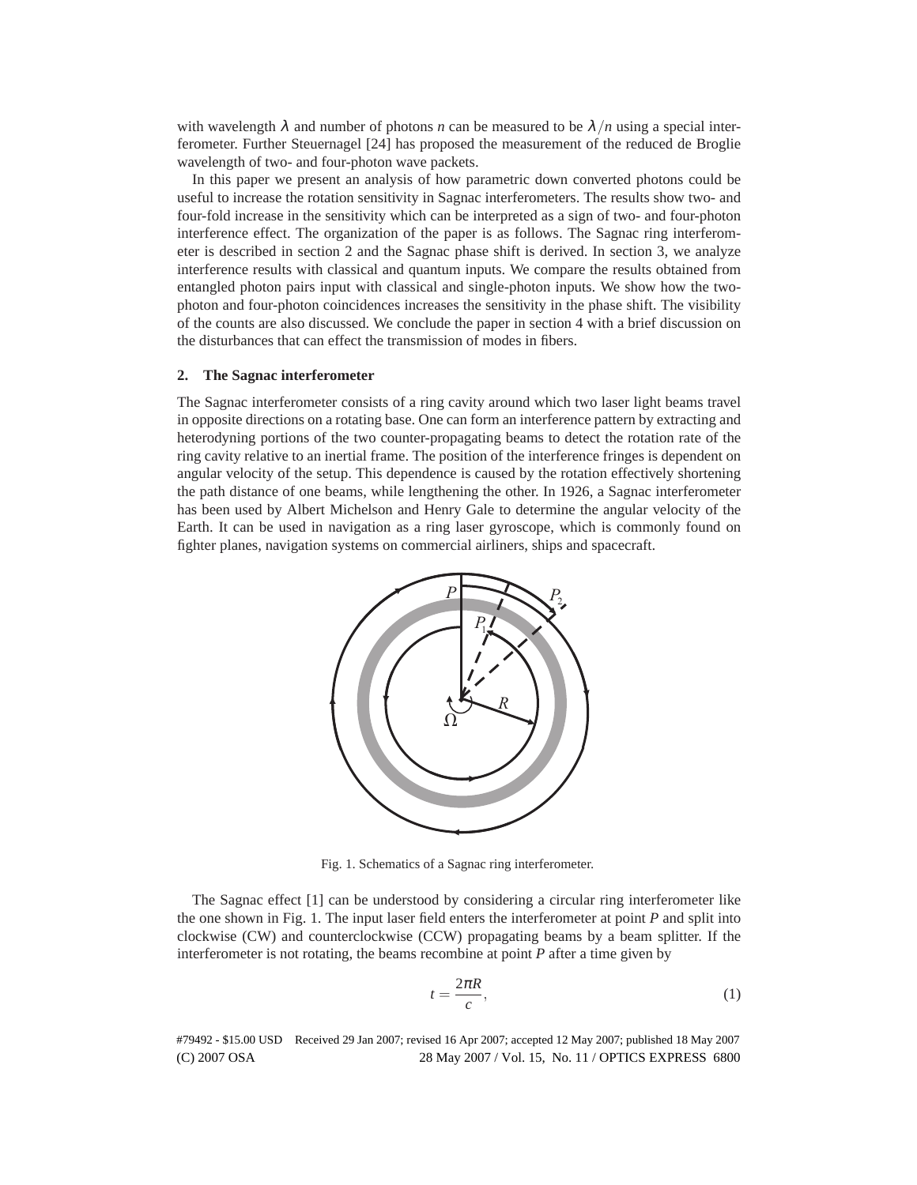with wavelength  $\lambda$  and number of photons *n* can be measured to be  $\lambda/n$  using a special interferometer. Further Steuernagel [24] has proposed the measurement of the reduced de Broglie wavelength of two- and four-photon wave packets.

In this paper we present an analysis of how parametric down converted photons could be useful to increase the rotation sensitivity in Sagnac interferometers. The results show two- and four-fold increase in the sensitivity which can be interpreted as a sign of two- and four-photon interference effect. The organization of the paper is as follows. The Sagnac ring interferometer is described in section 2 and the Sagnac phase shift is derived. In section 3, we analyze interference results with classical and quantum inputs. We compare the results obtained from entangled photon pairs input with classical and single-photon inputs. We show how the twophoton and four-photon coincidences increases the sensitivity in the phase shift. The visibility of the counts are also discussed. We conclude the paper in section 4 with a brief discussion on the disturbances that can effect the transmission of modes in fibers.

## **2. The Sagnac interferometer**

The Sagnac interferometer consists of a ring cavity around which two laser light beams travel in opposite directions on a rotating base. One can form an interference pattern by extracting and heterodyning portions of the two counter-propagating beams to detect the rotation rate of the ring cavity relative to an inertial frame. The position of the interference fringes is dependent on angular velocity of the setup. This dependence is caused by the rotation effectively shortening the path distance of one beams, while lengthening the other. In 1926, a Sagnac interferometer has been used by Albert Michelson and Henry Gale to determine the angular velocity of the Earth. It can be used in navigation as a ring laser gyroscope, which is commonly found on fighter planes, navigation systems on commercial airliners, ships and spacecraft.



Fig. 1. Schematics of a Sagnac ring interferometer.

The Sagnac effect [1] can be understood by considering a circular ring interferometer like the one shown in Fig. 1. The input laser field enters the interferometer at point *P* and split into clockwise (CW) and counterclockwise (CCW) propagating beams by a beam splitter. If the interferometer is not rotating, the beams recombine at point *P* after a time given by

$$
t = \frac{2\pi R}{c},\tag{1}
$$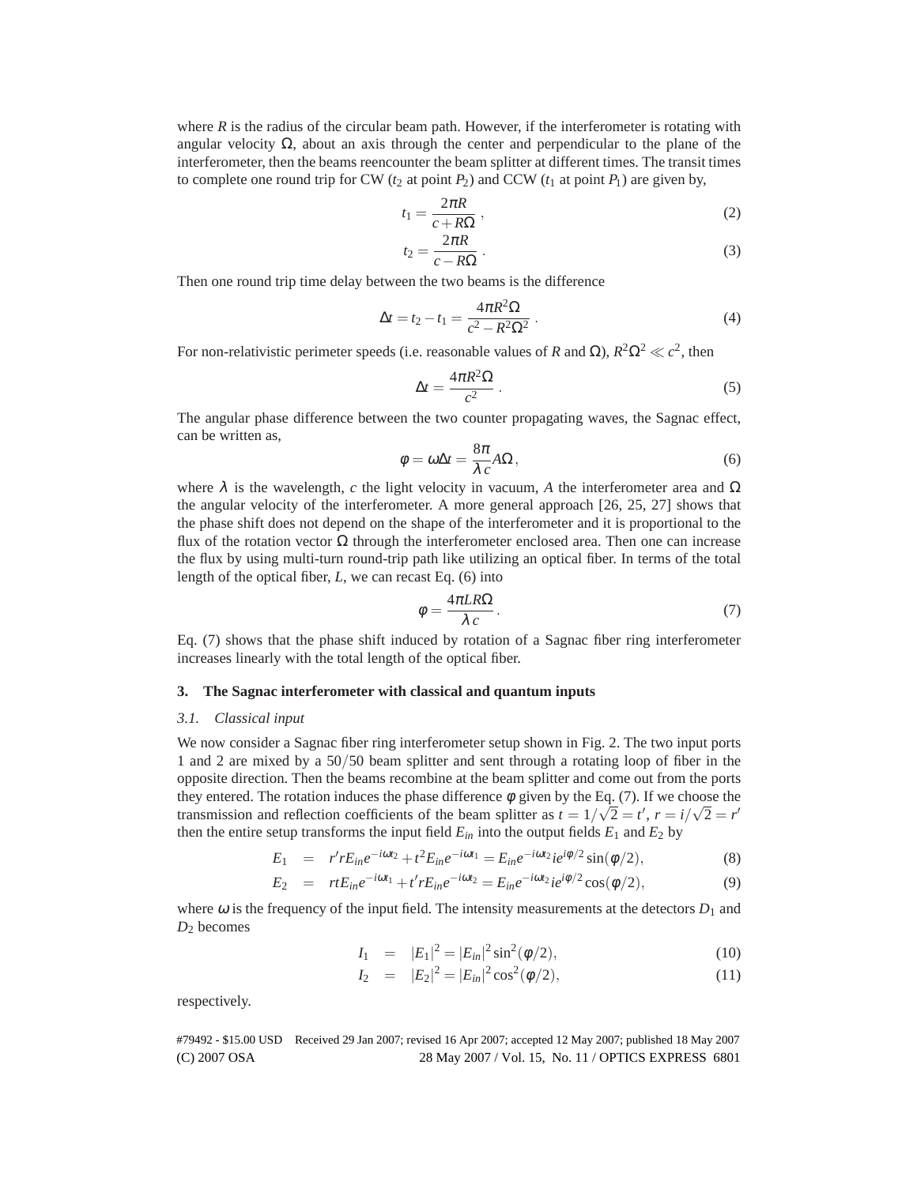where  $R$  is the radius of the circular beam path. However, if the interferometer is rotating with angular velocity  $\Omega$ , about an axis through the center and perpendicular to the plane of the interferometer, then the beams reencounter the beam splitter at different times. The transit times to complete one round trip for CW ( $t_2$  at point  $P_2$ ) and CCW ( $t_1$  at point  $P_1$ ) are given by,

$$
t_1 = \frac{2\pi R}{c + R\Omega},\qquad(2)
$$

$$
t_2 = \frac{2\pi R}{c - R\Omega} \,. \tag{3}
$$

Then one round trip time delay between the two beams is the difference

$$
\Delta t = t_2 - t_1 = \frac{4\pi R^2 \Omega}{c^2 - R^2 \Omega^2} \,. \tag{4}
$$

For non-relativistic perimeter speeds (i.e. reasonable values of *R* and Ω),  $R^2\Omega^2 \ll c^2$ , then

$$
\Delta t = \frac{4\pi R^2 \Omega}{c^2} \,. \tag{5}
$$

The angular phase difference between the two counter propagating waves, the Sagnac effect, can be written as,

$$
\phi = \omega \Delta t = \frac{8\pi}{\lambda c} A\Omega, \qquad (6)
$$

where  $\lambda$  is the wavelength, *c* the light velocity in vacuum, *A* the interferometer area and  $\Omega$ the angular velocity of the interferometer. A more general approach [26, 25, 27] shows that the phase shift does not depend on the shape of the interferometer and it is proportional to the flux of the rotation vector  $\Omega$  through the interferometer enclosed area. Then one can increase the flux by using multi-turn round-trip path like utilizing an optical fiber. In terms of the total length of the optical fiber, *L*, we can recast Eq. (6) into

$$
\phi = \frac{4\pi LR\Omega}{\lambda c}.
$$
\n(7)

Eq. (7) shows that the phase shift induced by rotation of a Sagnac fiber ring interferometer increases linearly with the total length of the optical fiber.

## **3. The Sagnac interferometer with classical and quantum inputs**

#### *3.1. Classical input*

We now consider a Sagnac fiber ring interferometer setup shown in Fig. 2. The two input ports 1 and 2 are mixed by a 50/50 beam splitter and sent through a rotating loop of fiber in the opposite direction. Then the beams recombine at the beam splitter and come out from the ports they entered. The rotation induces the phase difference  $\phi$  given by the Eq. (7). If we choose the transmission and reflection coefficients of the beam splitter as  $t = 1/\sqrt{2} = t'$ ,  $r = i/\sqrt{2} = r'$ then the entire setup transforms the input field  $E_{in}$  into the output fields  $E_1$  and  $E_2$  by

$$
E_1 = r' r E_{in} e^{-i\omega t_2} + t^2 E_{in} e^{-i\omega t_1} = E_{in} e^{-i\omega t_2} i e^{i\phi/2} \sin(\phi/2), \tag{8}
$$

$$
E_2 = r t E_{in} e^{-i\omega t_1} + t' r E_{in} e^{-i\omega t_2} = E_{in} e^{-i\omega t_2} i e^{i\phi/2} \cos(\phi/2),
$$
(9)

where  $\omega$  is the frequency of the input field. The intensity measurements at the detectors  $D_1$  and *D*<sup>2</sup> becomes

$$
I_1 = |E_1|^2 = |E_{in}|^2 \sin^2(\phi/2), \qquad (10)
$$

$$
I_2 = |E_2|^2 = |E_{in}|^2 \cos^2(\phi/2), \tag{11}
$$

respectively.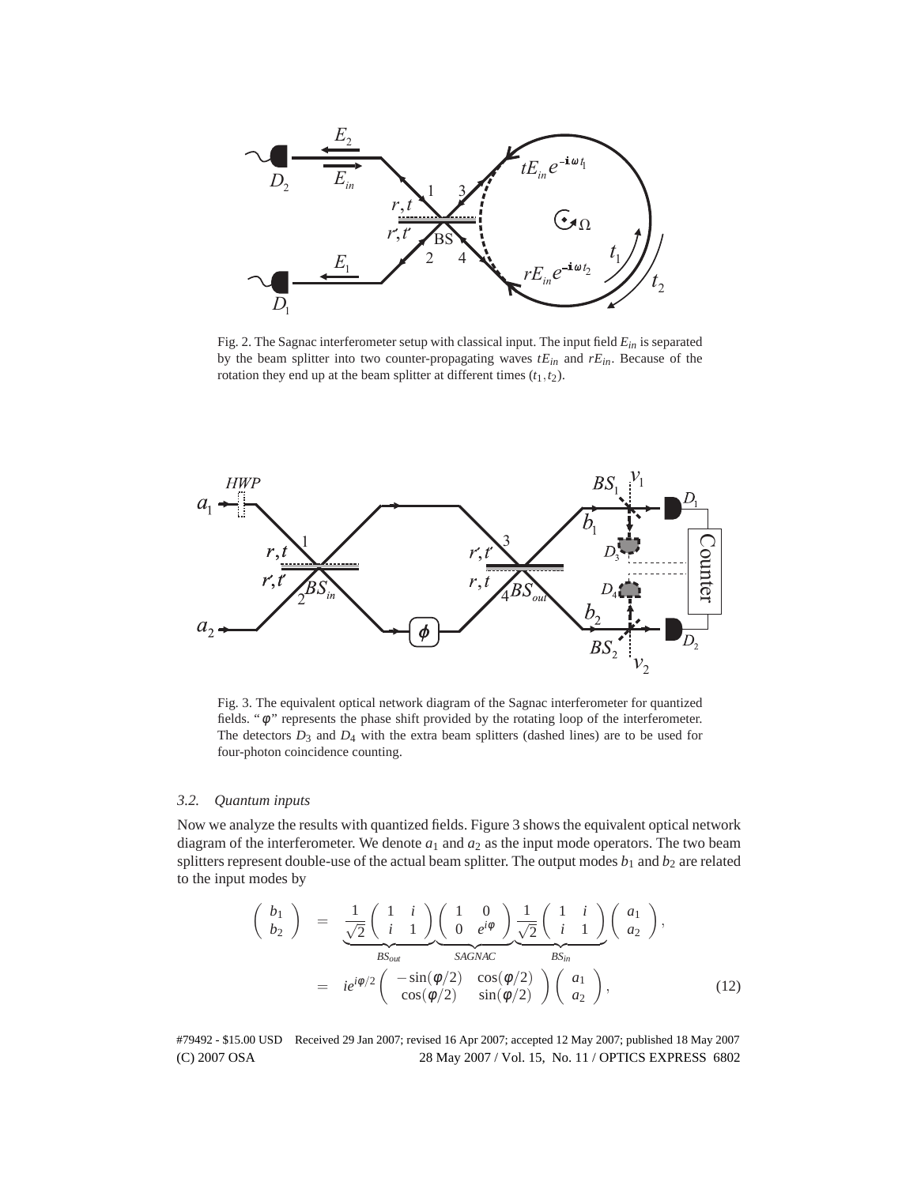

Fig. 2. The Sagnac interferometer setup with classical input. The input field *Ein* is separated by the beam splitter into two counter-propagating waves *tEin* and *rEin*. Because of the rotation they end up at the beam splitter at different times  $(t_1, t_2)$ .



Fig. 3. The equivalent optical network diagram of the Sagnac interferometer for quantized fields. "φ " represents the phase shift provided by the rotating loop of the interferometer. The detectors  $D_3$  and  $D_4$  with the extra beam splitters (dashed lines) are to be used for four-photon coincidence counting.

## *3.2. Quantum inputs*

Now we analyze the results with quantized fields. Figure 3 shows the equivalent optical network diagram of the interferometer. We denote  $a_1$  and  $a_2$  as the input mode operators. The two beam splitters represent double-use of the actual beam splitter. The output modes  $b_1$  and  $b_2$  are related to the input modes by

$$
\begin{pmatrix}\nb_1 \\
b_2\n\end{pmatrix} = \frac{1}{\sqrt{2}} \begin{pmatrix} 1 & i \\
i & 1 \end{pmatrix} \begin{pmatrix} 1 & 0 \\
0 & e^{i\phi} \end{pmatrix} \frac{1}{\sqrt{2}} \begin{pmatrix} 1 & i \\
i & 1 \end{pmatrix} \begin{pmatrix} a_1 \\
a_2 \end{pmatrix},
$$
\n
$$
= ie^{i\phi/2} \begin{pmatrix} -\sin(\phi/2) & \cos(\phi/2) \\
\cos(\phi/2) & \sin(\phi/2) \end{pmatrix} \begin{pmatrix} a_1 \\
a_2 \end{pmatrix},
$$
\n(12)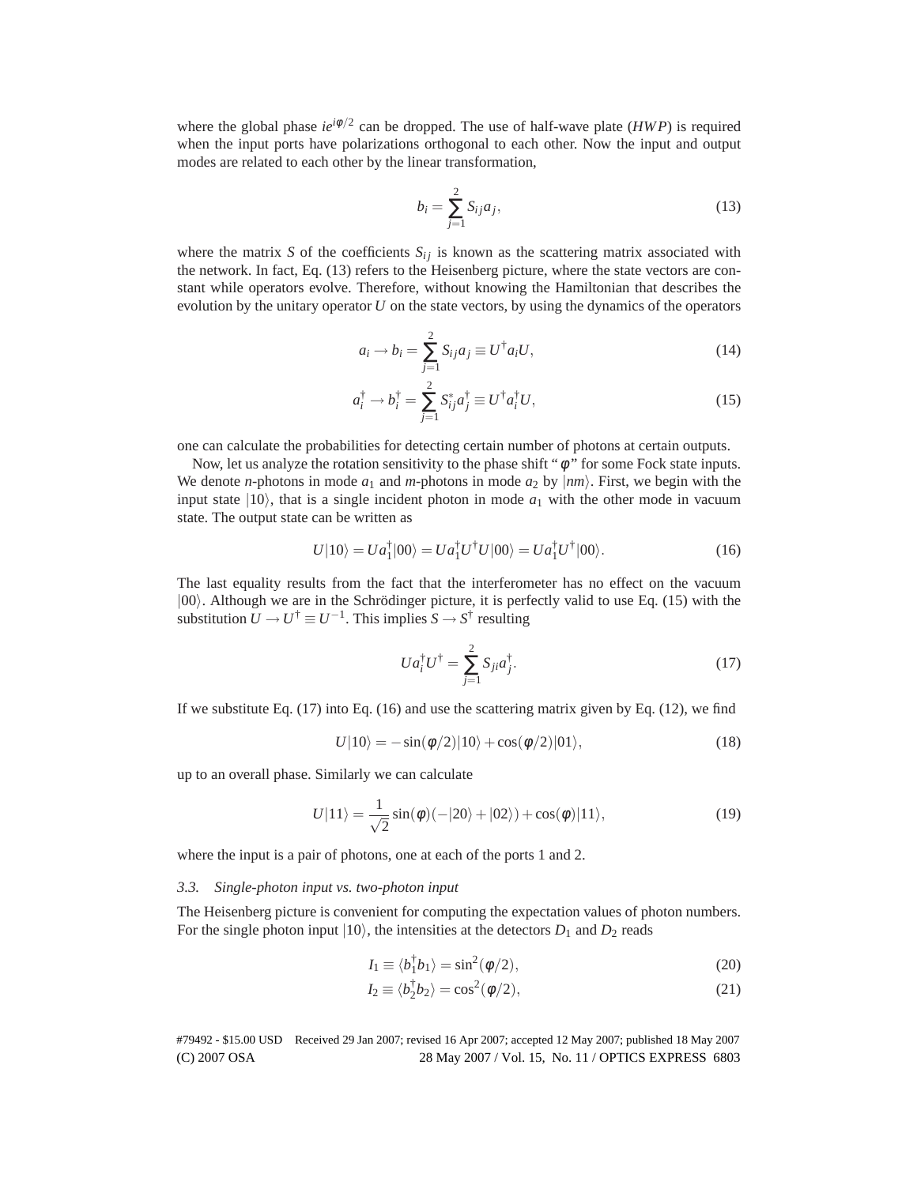where the global phase  $ie^{i\phi/2}$  can be dropped. The use of half-wave plate ( $HWP$ ) is required when the input ports have polarizations orthogonal to each other. Now the input and output modes are related to each other by the linear transformation,

$$
b_i = \sum_{j=1}^{2} S_{ij} a_j,
$$
\n(13)

where the matrix *S* of the coefficients  $S_{ij}$  is known as the scattering matrix associated with the network. In fact, Eq. (13) refers to the Heisenberg picture, where the state vectors are constant while operators evolve. Therefore, without knowing the Hamiltonian that describes the evolution by the unitary operator *U* on the state vectors, by using the dynamics of the operators

$$
a_i \rightarrow b_i = \sum_{j=1}^{2} S_{ij} a_j \equiv U^{\dagger} a_i U, \qquad (14)
$$

$$
a_i^{\dagger} \rightarrow b_i^{\dagger} = \sum_{j=1}^{2} S_{ij}^* a_j^{\dagger} \equiv U^{\dagger} a_i^{\dagger} U,\tag{15}
$$

one can calculate the probabilities for detecting certain number of photons at certain outputs.

Now, let us analyze the rotation sensitivity to the phase shift " $\phi$ " for some Fock state inputs. We denote *n*-photons in mode  $a_1$  and *m*-photons in mode  $a_2$  by  $\vert nm \rangle$ . First, we begin with the input state  $|10\rangle$ , that is a single incident photon in mode  $a_1$  with the other mode in vacuum state. The output state can be written as

$$
U|10\rangle = Ua_1^{\dagger}|00\rangle = Ua_1^{\dagger}U^{\dagger}U|00\rangle = Ua_1^{\dagger}U^{\dagger}|00\rangle.
$$
 (16)

The last equality results from the fact that the interferometer has no effect on the vacuum  $|00\rangle$ . Although we are in the Schrödinger picture, it is perfectly valid to use Eq. (15) with the substitution  $U \to U^{\dagger} \equiv U^{-1}$ . This implies  $S \to S^{\dagger}$  resulting

$$
Ua_i^{\dagger}U^{\dagger} = \sum_{j=1}^{2} S_{ji}a_j^{\dagger}.
$$
 (17)

If we substitute Eq.  $(17)$  into Eq.  $(16)$  and use the scattering matrix given by Eq.  $(12)$ , we find

$$
U|10\rangle = -\sin(\phi/2)|10\rangle + \cos(\phi/2)|01\rangle, \qquad (18)
$$

up to an overall phase. Similarly we can calculate

$$
U|11\rangle = \frac{1}{\sqrt{2}}\sin(\phi)(-|20\rangle + |02\rangle) + \cos(\phi)|11\rangle,
$$
\n(19)

where the input is a pair of photons, one at each of the ports 1 and 2.

#### *3.3. Single-photon input vs. two-photon input*

The Heisenberg picture is convenient for computing the expectation values of photon numbers. For the single photon input  $|10\rangle$ , the intensities at the detectors  $D_1$  and  $D_2$  reads

$$
I_1 \equiv \langle b_1^\dagger b_1 \rangle = \sin^2(\phi/2),\tag{20}
$$

$$
I_2 \equiv \langle b_2^{\dagger} b_2 \rangle = \cos^2(\phi/2), \tag{21}
$$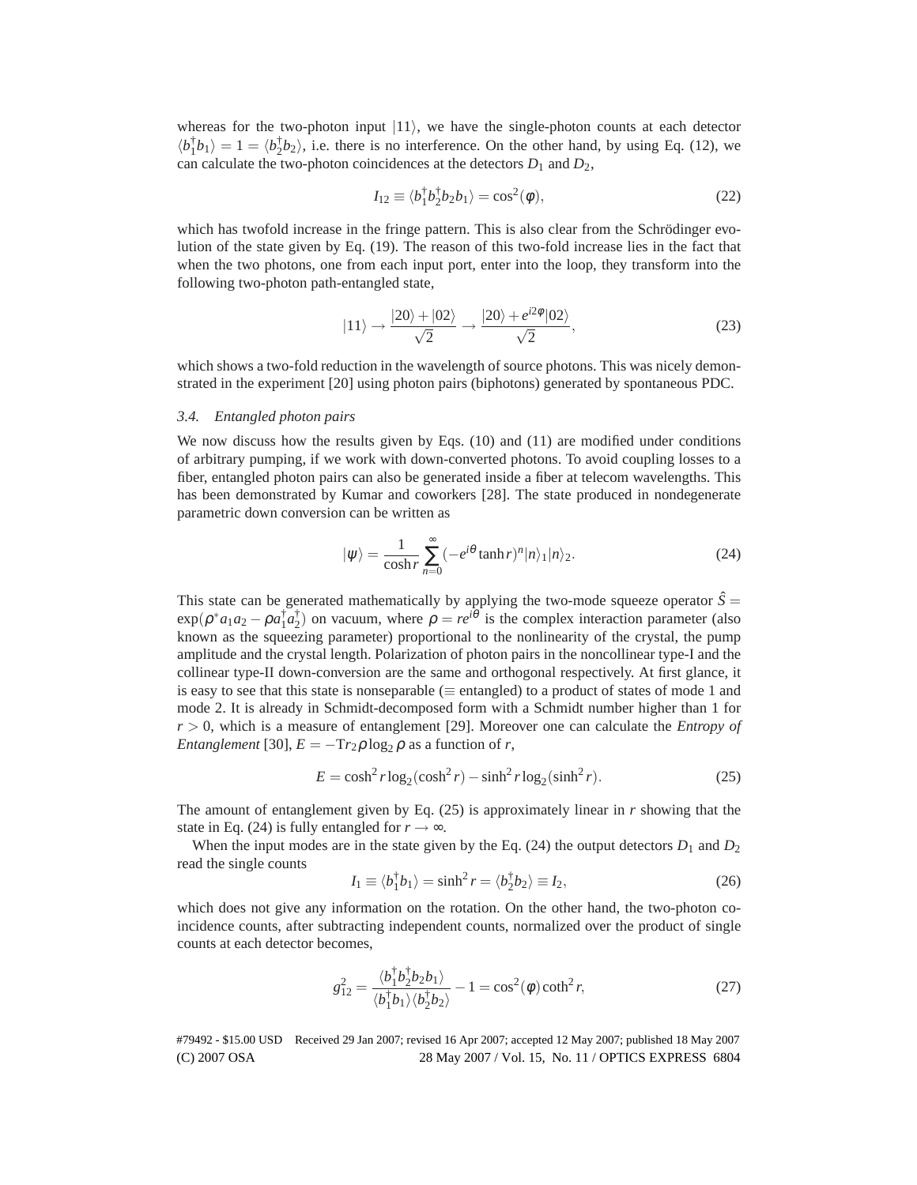whereas for the two-photon input  $|11\rangle$ , we have the single-photon counts at each detector  $\langle b_1^{\dagger} b_1 \rangle = 1 = \langle b_2^{\dagger} b_2 \rangle$ , i.e. there is no interference. On the other hand, by using Eq. (12), we can calculate the two-photon coincidences at the detectors  $D_1$  and  $D_2$ ,

$$
I_{12} \equiv \langle b_1^{\dagger} b_2^{\dagger} b_2 b_1 \rangle = \cos^2(\phi), \tag{22}
$$

which has twofold increase in the fringe pattern. This is also clear from the Schrödinger evolution of the state given by Eq. (19). The reason of this two-fold increase lies in the fact that when the two photons, one from each input port, enter into the loop, they transform into the following two-photon path-entangled state,

$$
|11\rangle \rightarrow \frac{|20\rangle + |02\rangle}{\sqrt{2}} \rightarrow \frac{|20\rangle + e^{i2\phi}|02\rangle}{\sqrt{2}},
$$
\n(23)

which shows a two-fold reduction in the wavelength of source photons. This was nicely demonstrated in the experiment [20] using photon pairs (biphotons) generated by spontaneous PDC.

# *3.4. Entangled photon pairs*

We now discuss how the results given by Eqs. (10) and (11) are modified under conditions of arbitrary pumping, if we work with down-converted photons. To avoid coupling losses to a fiber, entangled photon pairs can also be generated inside a fiber at telecom wavelengths. This has been demonstrated by Kumar and coworkers [28]. The state produced in nondegenerate parametric down conversion can be written as

$$
|\psi\rangle = \frac{1}{\cosh r} \sum_{n=0}^{\infty} \left(-e^{i\theta} \tanh r\right)^n |n\rangle_1 |n\rangle_2.
$$
 (24)

This state can be generated mathematically by applying the two-mode squeeze operator  $\hat{S}$  =  $\exp(\rho^* a_1 a_2 - \rho a_1^{\dagger} a_2^{\dagger})$  on vacuum, where  $\rho = re^{i\theta}$  is the complex interaction parameter (also known as the squeezing parameter) proportional to the nonlinearity of the crystal, the pump amplitude and the crystal length. Polarization of photon pairs in the noncollinear type-I and the collinear type-II down-conversion are the same and orthogonal respectively. At first glance, it is easy to see that this state is nonseparable ( $\equiv$  entangled) to a product of states of mode 1 and mode 2. It is already in Schmidt-decomposed form with a Schmidt number higher than 1 for *r* > 0, which is a measure of entanglement [29]. Moreover one can calculate the *Entropy of Entanglement* [30],  $E = -Tr_2 \rho \log_2 \rho$  as a function of *r*,

$$
E = \cosh^2 r \log_2(\cosh^2 r) - \sinh^2 r \log_2(\sinh^2 r). \tag{25}
$$

The amount of entanglement given by Eq. (25) is approximately linear in *r* showing that the state in Eq. (24) is fully entangled for  $r \rightarrow \infty$ .

When the input modes are in the state given by the Eq.  $(24)$  the output detectors  $D_1$  and  $D_2$ read the single counts

$$
I_1 \equiv \langle b_1^{\dagger} b_1 \rangle = \sinh^2 r = \langle b_2^{\dagger} b_2 \rangle \equiv I_2,\tag{26}
$$

which does not give any information on the rotation. On the other hand, the two-photon coincidence counts, after subtracting independent counts, normalized over the product of single counts at each detector becomes,

$$
g_{12}^2 = \frac{\langle b_1^\dagger b_2^\dagger b_2 b_1 \rangle}{\langle b_1^\dagger b_1 \rangle \langle b_2^\dagger b_2 \rangle} - 1 = \cos^2(\phi) \coth^2 r,\tag{27}
$$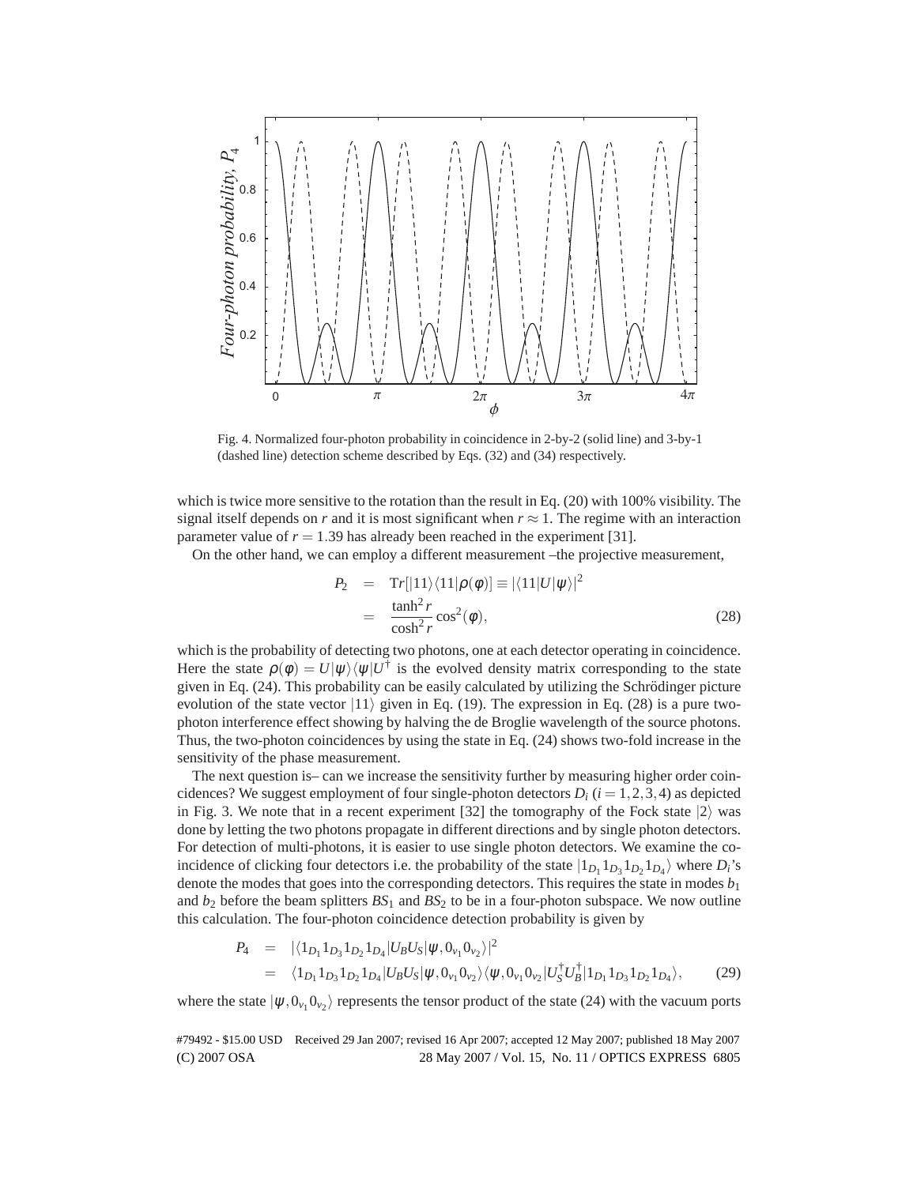

Fig. 4. Normalized four-photon probability in coincidence in 2-by-2 (solid line) and 3-by-1 (dashed line) detection scheme described by Eqs. (32) and (34) respectively.

which is twice more sensitive to the rotation than the result in Eq. (20) with 100% visibility. The signal itself depends on *r* and it is most significant when  $r \approx 1$ . The regime with an interaction parameter value of  $r = 1.39$  has already been reached in the experiment [31].

On the other hand, we can employ a different measurement –the projective measurement,

$$
P_2 = \text{Tr}[|11\rangle\langle11|\rho(\phi)] \equiv |\langle11|U|\psi\rangle|^2
$$
  
= 
$$
\frac{\tanh^2 r}{\cosh^2 r} \cos^2(\phi),
$$
 (28)

which is the probability of detecting two photons, one at each detector operating in coincidence. Here the state  $\rho(\phi) = U|\psi\rangle\langle\psi|U^{\dagger}$  is the evolved density matrix corresponding to the state given in Eq.  $(24)$ . This probability can be easily calculated by utilizing the Schrödinger picture evolution of the state vector  $|11\rangle$  given in Eq. (19). The expression in Eq. (28) is a pure twophoton interference effect showing by halving the de Broglie wavelength of the source photons. Thus, the two-photon coincidences by using the state in Eq. (24) shows two-fold increase in the sensitivity of the phase measurement.

The next question is– can we increase the sensitivity further by measuring higher order coincidences? We suggest employment of four single-photon detectors  $D_i$  ( $i = 1, 2, 3, 4$ ) as depicted in Fig. 3. We note that in a recent experiment [32] the tomography of the Fock state  $|2\rangle$  was done by letting the two photons propagate in different directions and by single photon detectors. For detection of multi-photons, it is easier to use single photon detectors. We examine the coincidence of clicking four detectors i.e. the probability of the state  $|1_{D_1} 1_{D_3} 1_{D_2} 1_{D_4} \rangle$  where  $D_i$ 's denote the modes that goes into the corresponding detectors. This requires the state in modes  $b_1$ and  $b_2$  before the beam splitters  $BS_1$  and  $BS_2$  to be in a four-photon subspace. We now outline this calculation. The four-photon coincidence detection probability is given by

$$
P_4 = |\langle 1_{D_1} 1_{D_3} 1_{D_2} 1_{D_4} | U_B U_S | \psi, 0_{\nu_1} 0_{\nu_2} \rangle|^2
$$
  
=  $\langle 1_{D_1} 1_{D_3} 1_{D_2} 1_{D_4} | U_B U_S | \psi, 0_{\nu_1} 0_{\nu_2} \rangle \langle \psi, 0_{\nu_1} 0_{\nu_2} | U_S^{\dagger} U_B^{\dagger} | 1_{D_1} 1_{D_3} 1_{D_2} 1_{D_4} \rangle,$  (29)

where the state  $|\psi, 0_{\nu_1} 0_{\nu_2}\rangle$  represents the tensor product of the state (24) with the vacuum ports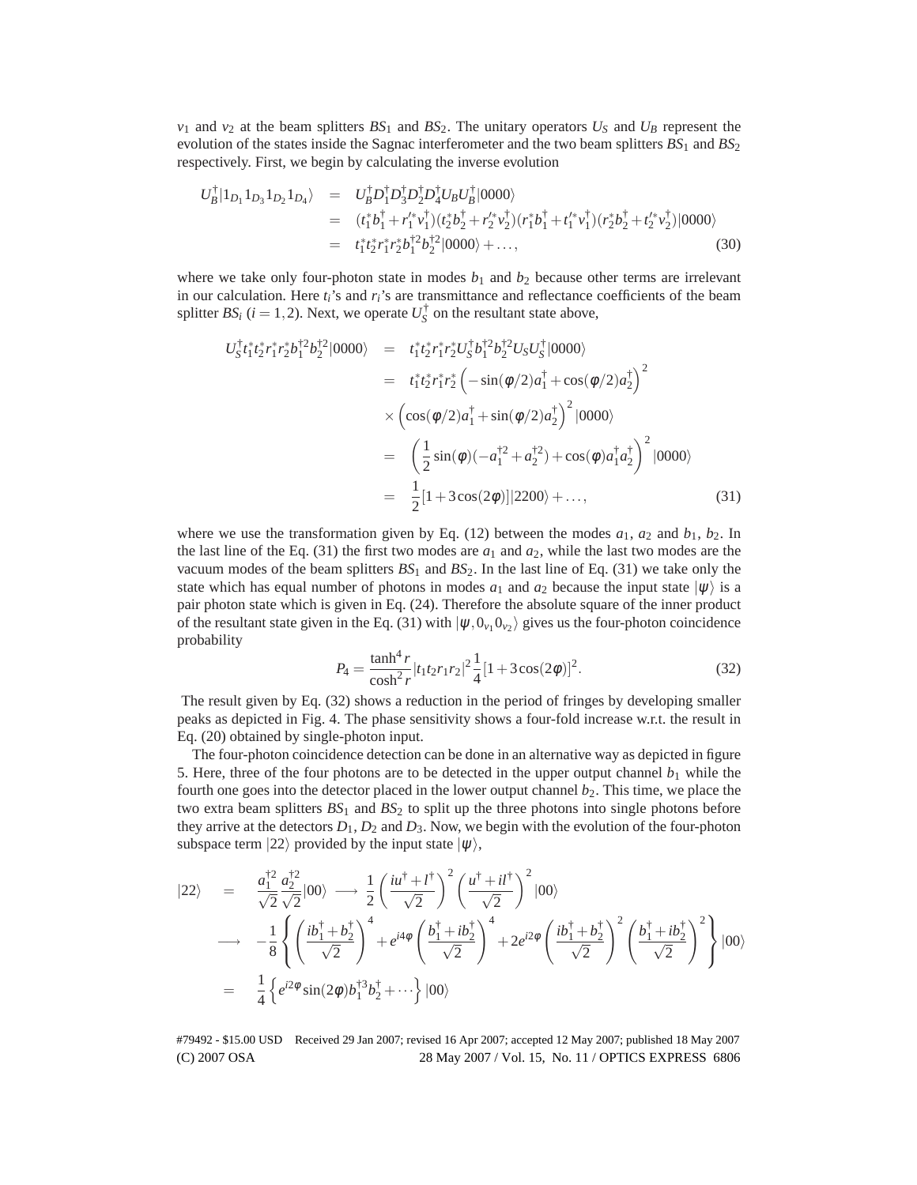$v_1$  and  $v_2$  at the beam splitters  $BS_1$  and  $BS_2$ . The unitary operators  $U_S$  and  $U_B$  represent the evolution of the states inside the Sagnac interferometer and the two beam splitters  $BS_1$  and  $BS_2$ respectively. First, we begin by calculating the inverse evolution

$$
U_B^{\dagger} |1_{D_1} 1_{D_3} 1_{D_2} 1_{D_4} \rangle = U_B^{\dagger} D_1^{\dagger} D_3^{\dagger} D_2^{\dagger} D_4^{\dagger} U_B U_B^{\dagger} |0000\rangle
$$
  
\n
$$
= (t_1^* b_1^{\dagger} + r_1'^* v_1^{\dagger}) (t_2^* b_2^{\dagger} + r_2'^* v_2^{\dagger}) (r_1^* b_1^{\dagger} + t_1'^* v_1^{\dagger}) (r_2^* b_2^{\dagger} + t_2'^* v_2^{\dagger}) |0000\rangle
$$
  
\n
$$
= t_1^* t_2^* r_1^* r_2^* b_1^{\dagger 2} b_2^{\dagger 2} |0000\rangle + ...,
$$
 (30)

where we take only four-photon state in modes  $b_1$  and  $b_2$  because other terms are irrelevant in our calculation. Here *ti*'s and *ri*'s are transmittance and reflectance coefficients of the beam splitter *BS<sub>i</sub>* ( $i = 1, 2$ ). Next, we operate  $U_S^{\dagger}$  on the resultant state above,

$$
U_{S}^{\dagger}t_{1}^{*}t_{2}^{*}r_{1}^{*}r_{2}^{*}b_{1}^{\dagger 2}b_{2}^{\dagger 2}|0000\rangle = t_{1}^{*}t_{2}^{*}r_{1}^{*}r_{2}^{*}U_{S}^{\dagger}b_{1}^{\dagger 2}b_{2}^{\dagger 2}U_{S}U_{S}^{\dagger}|0000\rangle
$$
  
\n
$$
= t_{1}^{*}t_{2}^{*}r_{1}^{*}r_{2}^{*}\left(-\sin(\phi/2)a_{1}^{\dagger} + \cos(\phi/2)a_{2}^{\dagger}\right)^{2}
$$
  
\n
$$
\times \left(\cos(\phi/2)a_{1}^{\dagger} + \sin(\phi/2)a_{2}^{\dagger}\right)^{2}|0000\rangle
$$
  
\n
$$
= \left(\frac{1}{2}\sin(\phi)(-a_{1}^{\dagger 2} + a_{2}^{\dagger 2}) + \cos(\phi)a_{1}^{\dagger}a_{2}^{\dagger}\right)^{2}|0000\rangle
$$
  
\n
$$
= \frac{1}{2}[1 + 3\cos(2\phi)]|2200\rangle + ..., \qquad (31)
$$

where we use the transformation given by Eq. (12) between the modes  $a_1$ ,  $a_2$  and  $b_1$ ,  $b_2$ . In the last line of the Eq.  $(31)$  the first two modes are  $a_1$  and  $a_2$ , while the last two modes are the vacuum modes of the beam splitters  $BS_1$  and  $BS_2$ . In the last line of Eq. (31) we take only the state which has equal number of photons in modes  $a_1$  and  $a_2$  because the input state  $|\psi\rangle$  is a pair photon state which is given in Eq. (24). Therefore the absolute square of the inner product of the resultant state given in the Eq. (31) with  $|\psi, 0_{\nu_1} 0_{\nu_2}\rangle$  gives us the four-photon coincidence probability

$$
P_4 = \frac{\tanh^4 r}{\cosh^2 r} |t_1 t_2 r_1 r_2|^2 \frac{1}{4} [1 + 3\cos(2\phi)]^2.
$$
 (32)

The result given by Eq. (32) shows a reduction in the period of fringes by developing smaller peaks as depicted in Fig. 4. The phase sensitivity shows a four-fold increase w.r.t. the result in Eq. (20) obtained by single-photon input.

The four-photon coincidence detection can be done in an alternative way as depicted in figure 5. Here, three of the four photons are to be detected in the upper output channel  $b_1$  while the fourth one goes into the detector placed in the lower output channel  $b<sub>2</sub>$ . This time, we place the two extra beam splitters  $BS_1$  and  $BS_2$  to split up the three photons into single photons before they arrive at the detectors  $D_1, D_2$  and  $D_3$ . Now, we begin with the evolution of the four-photon subspace term  $|22\rangle$  provided by the input state  $|\psi\rangle$ ,

$$
|22\rangle = \frac{a_1^{\dagger 2}}{\sqrt{2}} \frac{a_2^{\dagger 2}}{\sqrt{2}} |00\rangle \longrightarrow \frac{1}{2} \left( \frac{i u^{\dagger} + l^{\dagger}}{\sqrt{2}} \right)^2 \left( \frac{u^{\dagger} + i l^{\dagger}}{\sqrt{2}} \right)^2 |00\rangle
$$
  
\n
$$
\longrightarrow -\frac{1}{8} \left\{ \left( \frac{i b_1^{\dagger} + b_2^{\dagger}}{\sqrt{2}} \right)^4 + e^{i 4 \phi} \left( \frac{b_1^{\dagger} + i b_2^{\dagger}}{\sqrt{2}} \right)^4 + 2 e^{i 2 \phi} \left( \frac{i b_1^{\dagger} + b_2^{\dagger}}{\sqrt{2}} \right)^2 \left( \frac{b_1^{\dagger} + i b_2^{\dagger}}{\sqrt{2}} \right)^2 \right\} |00\rangle
$$
  
\n
$$
= \frac{1}{4} \left\{ e^{i 2 \phi} \sin(2 \phi) b_1^{\dagger 3} b_2^{\dagger} + \cdots \right\} |00\rangle
$$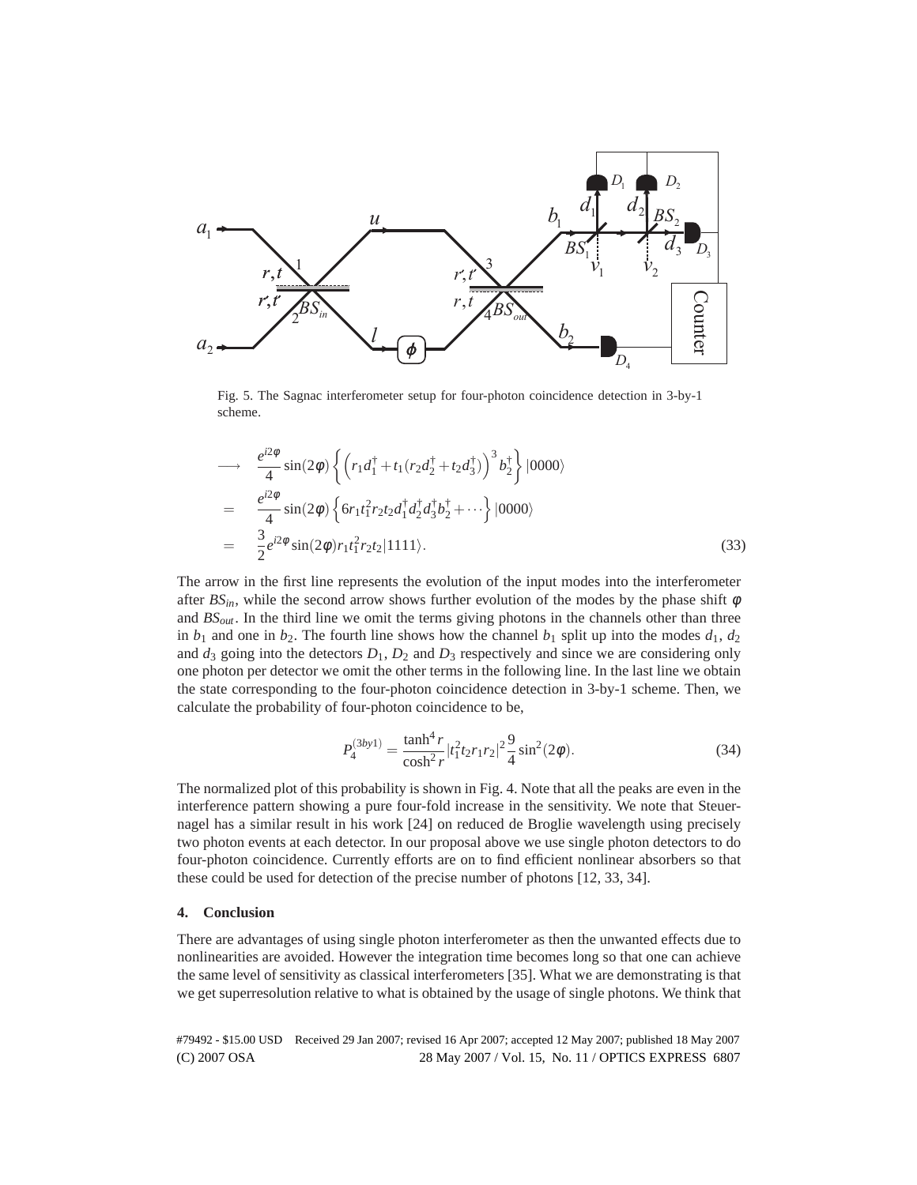

Fig. 5. The Sagnac interferometer setup for four-photon coincidence detection in 3-by-1 scheme.

$$
\rightarrow \frac{e^{i2\phi}}{4}\sin(2\phi)\left\{\left(r_1d_1^{\dagger}+t_1(r_2d_2^{\dagger}+t_2d_3^{\dagger})\right)^3b_2^{\dagger}\right\}|0000\rangle
$$
\n
$$
=\frac{e^{i2\phi}}{4}\sin(2\phi)\left\{6r_1t_1^2r_2t_2d_1^{\dagger}d_2^{\dagger}d_3^{\dagger}b_2^{\dagger}+\cdots\right\}|0000\rangle
$$
\n
$$
=\frac{3}{2}e^{i2\phi}\sin(2\phi)r_1t_1^2r_2t_2|1111\rangle. \tag{33}
$$

The arrow in the first line represents the evolution of the input modes into the interferometer after  $BS_{in}$ , while the second arrow shows further evolution of the modes by the phase shift  $\phi$ and *BSout*. In the third line we omit the terms giving photons in the channels other than three in  $b_1$  and one in  $b_2$ . The fourth line shows how the channel  $b_1$  split up into the modes  $d_1$ ,  $d_2$ and  $d_3$  going into the detectors  $D_1$ ,  $D_2$  and  $D_3$  respectively and since we are considering only one photon per detector we omit the other terms in the following line. In the last line we obtain the state corresponding to the four-photon coincidence detection in 3-by-1 scheme. Then, we calculate the probability of four-photon coincidence to be,

$$
P_4^{(3by1)} = \frac{\tanh^4 r}{\cosh^2 r} |t_1^2 t_2 r_1 r_2|^2 \frac{9}{4} \sin^2(2\phi).
$$
 (34)

The normalized plot of this probability is shown in Fig. 4. Note that all the peaks are even in the interference pattern showing a pure four-fold increase in the sensitivity. We note that Steuernagel has a similar result in his work [24] on reduced de Broglie wavelength using precisely two photon events at each detector. In our proposal above we use single photon detectors to do four-photon coincidence. Currently efforts are on to find efficient nonlinear absorbers so that these could be used for detection of the precise number of photons [12, 33, 34].

# **4. Conclusion**

There are advantages of using single photon interferometer as then the unwanted effects due to nonlinearities are avoided. However the integration time becomes long so that one can achieve the same level of sensitivity as classical interferometers [35]. What we are demonstrating is that we get superresolution relative to what is obtained by the usage of single photons. We think that